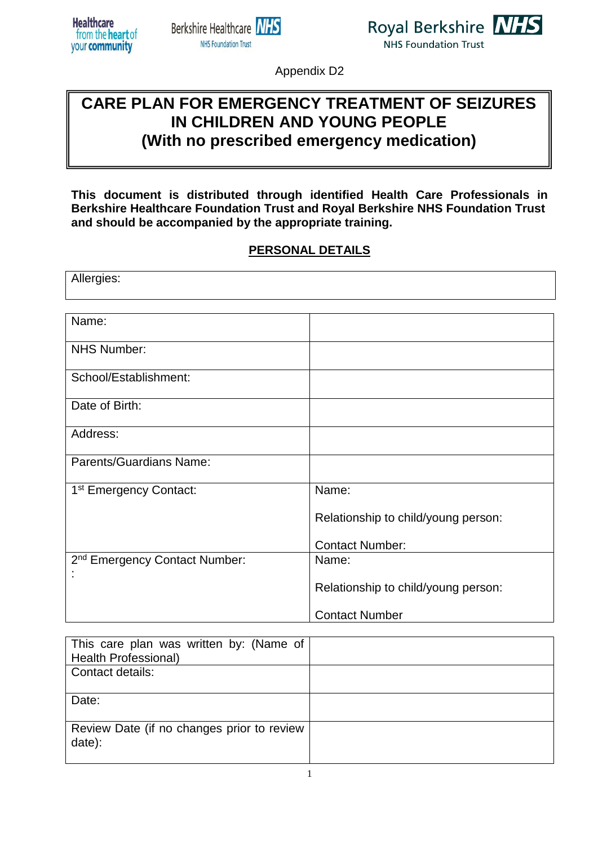





Appendix D2

# **CARE PLAN FOR EMERGENCY TREATMENT OF SEIZURES IN CHILDREN AND YOUNG PEOPLE (With no prescribed emergency medication)**

**This document is distributed through identified Health Care Professionals in Berkshire Healthcare Foundation Trust and Royal Berkshire NHS Foundation Trust and should be accompanied by the appropriate training.**

#### **PERSONAL DETAILS**

| Allergies:                                |                                     |  |
|-------------------------------------------|-------------------------------------|--|
|                                           |                                     |  |
| Name:                                     |                                     |  |
| <b>NHS Number:</b>                        |                                     |  |
| School/Establishment:                     |                                     |  |
| Date of Birth:                            |                                     |  |
| Address:                                  |                                     |  |
| <b>Parents/Guardians Name:</b>            |                                     |  |
| 1 <sup>st</sup> Emergency Contact:        | Name:                               |  |
|                                           | Relationship to child/young person: |  |
|                                           | <b>Contact Number:</b>              |  |
| 2 <sup>nd</sup> Emergency Contact Number: | Name:                               |  |
|                                           | Relationship to child/young person: |  |
|                                           | <b>Contact Number</b>               |  |

| This care plan was written by: (Name of<br><b>Health Professional)</b> |  |
|------------------------------------------------------------------------|--|
| Contact details:                                                       |  |
| Date:                                                                  |  |
| Review Date (if no changes prior to review<br>date):                   |  |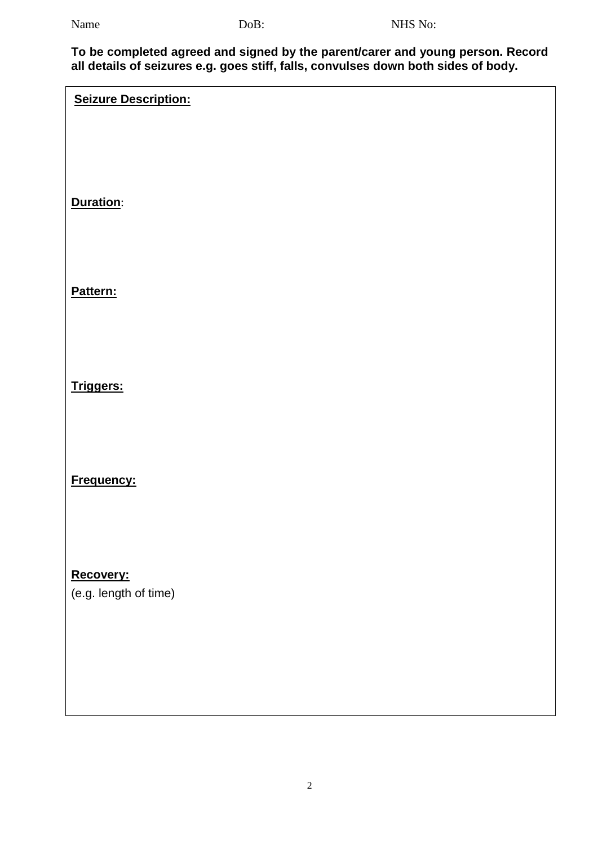**To be completed agreed and signed by the parent/carer and young person. Record all details of seizures e.g. goes stiff, falls, convulses down both sides of body.**

**Seizure Description:**

#### **Duration**:

## **Pattern:**

## **Triggers:**

**Frequency:**

**Recovery:**

(e.g. length of time)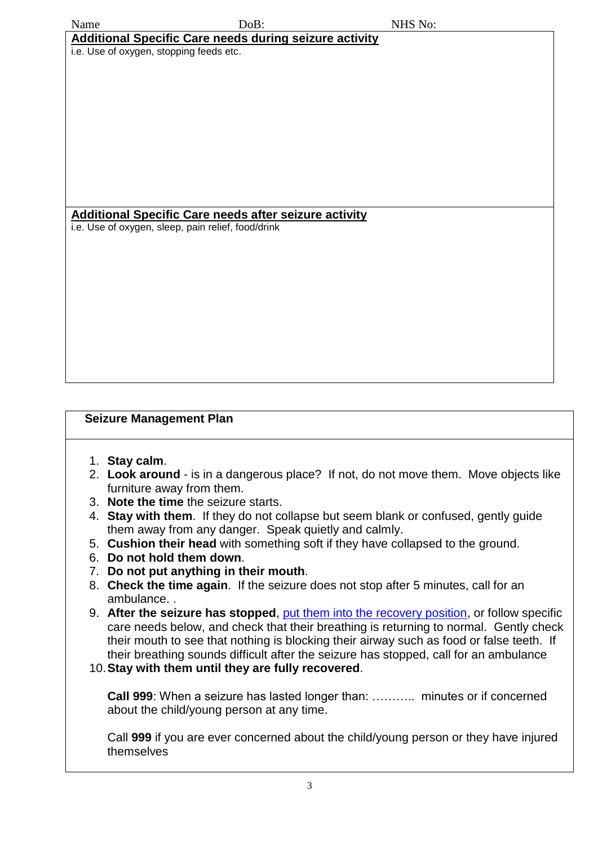| Name                                                                                                               | DoB: | NHS No: |  |
|--------------------------------------------------------------------------------------------------------------------|------|---------|--|
| <b>Additional Specific Care needs during seizure activity</b>                                                      |      |         |  |
| i.e. Use of oxygen, stopping feeds etc.                                                                            |      |         |  |
|                                                                                                                    |      |         |  |
|                                                                                                                    |      |         |  |
|                                                                                                                    |      |         |  |
|                                                                                                                    |      |         |  |
|                                                                                                                    |      |         |  |
|                                                                                                                    |      |         |  |
|                                                                                                                    |      |         |  |
|                                                                                                                    |      |         |  |
|                                                                                                                    |      |         |  |
| <b>Additional Specific Care needs after seizure activity</b><br>i.e. Use of oxygen, sleep, pain relief, food/drink |      |         |  |
|                                                                                                                    |      |         |  |
|                                                                                                                    |      |         |  |
|                                                                                                                    |      |         |  |
|                                                                                                                    |      |         |  |
|                                                                                                                    |      |         |  |
|                                                                                                                    |      |         |  |
|                                                                                                                    |      |         |  |
|                                                                                                                    |      |         |  |
|                                                                                                                    |      |         |  |
|                                                                                                                    |      |         |  |

#### **Seizure Management Plan**

- 1. **Stay calm**.
- 2. **Look around** is in a dangerous place? If not, do not move them. Move objects like furniture away from them.
- 3. **Note the time** the seizure starts.
- 4. **Stay with them**. If they do not collapse but seem blank or confused, gently guide them away from any danger. Speak quietly and calmly.
- 5. **Cushion their head** with something soft if they have collapsed to the ground.
- 6. **Do not hold them down**.
- 7. **Do not put anything in their mouth**.
- 8. **Check the time again**. If the seizure does not stop after 5 minutes, call for an ambulance. .
- 9. **After the seizure has stopped**, [put them into the recovery position,](http://www.epilepsysociety.org.uk/recovery-position-video) or follow specific care needs below, and check that their breathing is returning to normal. Gently check their mouth to see that nothing is blocking their airway such as food or false teeth. If their breathing sounds difficult after the seizure has stopped, call for an ambulance
- 10.**Stay with them until they are fully recovered**.

**Call 999**: When a seizure has lasted longer than: ……….. minutes or if concerned about the child/young person at any time.

Call **999** if you are ever concerned about the child/young person or they have injured themselves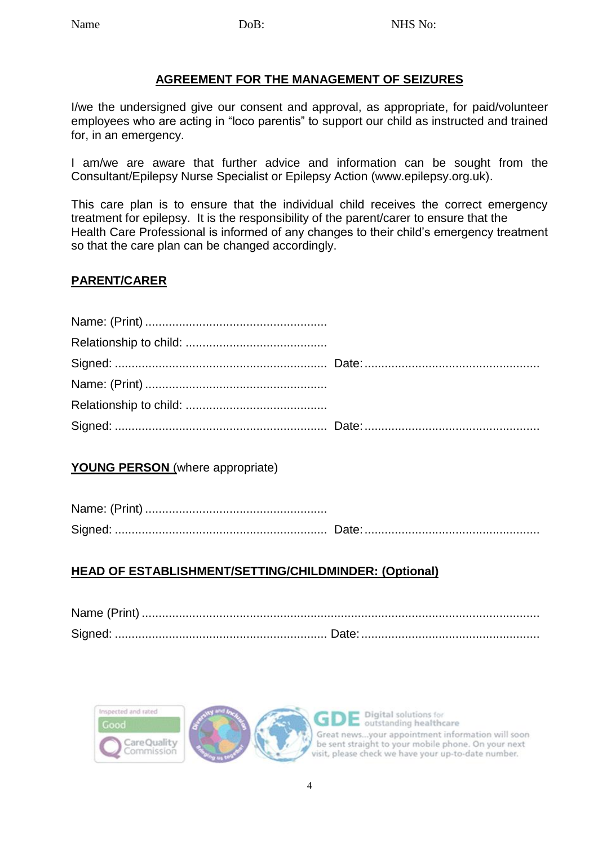#### **AGREEMENT FOR THE MANAGEMENT OF SEIZURES**

I/we the undersigned give our consent and approval, as appropriate, for paid/volunteer employees who are acting in "loco parentis" to support our child as instructed and trained for, in an emergency.

I am/we are aware that further advice and information can be sought from the Consultant/Epilepsy Nurse Specialist or Epilepsy Action (www.epilepsy.org.uk).

This care plan is to ensure that the individual child receives the correct emergency treatment for epilepsy. It is the responsibility of the parent/carer to ensure that the Health Care Professional is informed of any changes to their child's emergency treatment so that the care plan can be changed accordingly.

#### **PARENT/CARER**

### **YOUNG PERSON** (where appropriate)

### **HEAD OF ESTABLISHMENT/SETTING/CHILDMINDER: (Optional)**



Digital solutions for outstanding healthcare Great news...your appointment information will soon be sent straight to your mobile phone. On your next visit, please check we have your up-to-date number.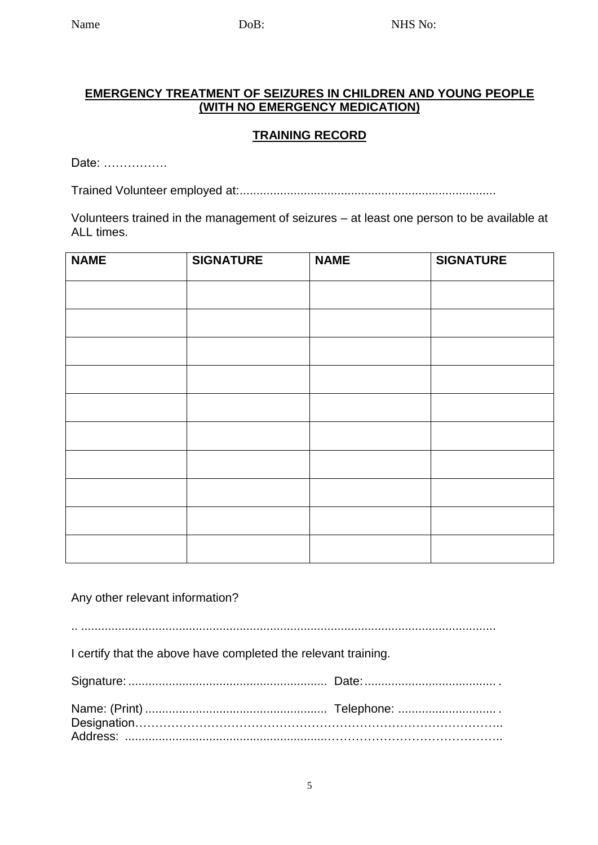#### **EMERGENCY TREATMENT OF SEIZURES IN CHILDREN AND YOUNG PEOPLE (WITH NO EMERGENCY MEDICATION)**

## **TRAINING RECORD**

Date: …………….

Trained Volunteer employed at:............................................................................

Volunteers trained in the management of seizures – at least one person to be available at ALL times.

| <b>NAME</b> | <b>SIGNATURE</b> | <b>NAME</b> | <b>SIGNATURE</b> |
|-------------|------------------|-------------|------------------|
|             |                  |             |                  |
|             |                  |             |                  |
|             |                  |             |                  |
|             |                  |             |                  |
|             |                  |             |                  |
|             |                  |             |                  |
|             |                  |             |                  |
|             |                  |             |                  |
|             |                  |             |                  |
|             |                  |             |                  |

Any other relevant information?

.. ...........................................................................................................................

I certify that the above have completed the relevant training.